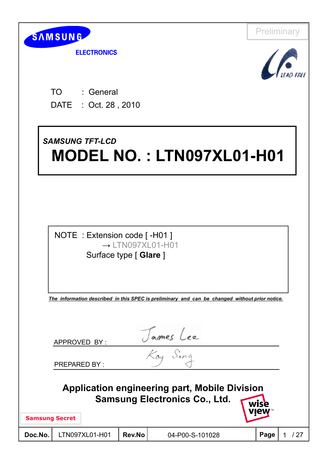

**ELECTRONICS** 



TO : General DATE : Oct. 28 , 2010

# *SAMSUNG TFT-LCD* **MODEL NO. : LTN097XL01-H01**

NOTE : Extension code [ -H01 ]  $\rightarrow$  LTN097XL01-H01 Surface type [ **Glare** ]

*The information described in this SPEC is preliminary and can be changed without prior notice.*

|                       | APPROVED BY:                                                                                 |        | James Lee       |      |    |  |  |
|-----------------------|----------------------------------------------------------------------------------------------|--------|-----------------|------|----|--|--|
|                       | <b>PREPARED BY:</b>                                                                          |        | Kay Song        |      |    |  |  |
|                       | <b>Application engineering part, Mobile Division</b><br><b>Samsung Electronics Co., Ltd.</b> |        |                 |      |    |  |  |
| <b>Samsung Secret</b> |                                                                                              |        |                 |      |    |  |  |
| Doc.No.               | LTN097XL01-H01                                                                               | Rev.No | 04-P00-S-101028 | Page | 27 |  |  |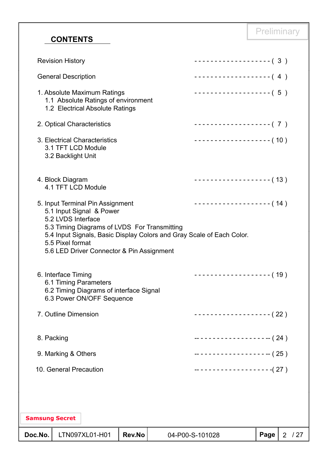## **CONTENTS**

| <b>Revision History</b>                                                                                                                                                                                                                                                      | ------------------- (3)    |
|------------------------------------------------------------------------------------------------------------------------------------------------------------------------------------------------------------------------------------------------------------------------------|----------------------------|
| <b>General Description</b>                                                                                                                                                                                                                                                   | $------------(-4)$         |
| 1. Absolute Maximum Ratings<br>1.1 Absolute Ratings of environment<br>1.2 Electrical Absolute Ratings                                                                                                                                                                        | $------------(-5)$         |
| 2. Optical Characteristics                                                                                                                                                                                                                                                   | ------------------- (7)    |
| 3. Electrical Characteristics<br>3.1 TFT LCD Module<br>3.2 Backlight Unit                                                                                                                                                                                                    | ------------------- (10)   |
| 4. Block Diagram<br>4.1 TFT LCD Module                                                                                                                                                                                                                                       | ------------------- (13)   |
| 5. Input Terminal Pin Assignment<br>5.1 Input Signal & Power<br>5.2 LVDS Interface<br>5.3 Timing Diagrams of LVDS For Transmitting<br>5.4 Input Signals, Basic Display Colors and Gray Scale of Each Color.<br>5.5 Pixel format<br>5.6 LED Driver Connector & Pin Assignment | $------------(14)$         |
| 6. Interface Timing<br>6.1 Timing Parameters<br>6.2 Timing Diagrams of interface Signal<br>6.3 Power ON/OFF Sequence                                                                                                                                                         | ------------------- (19)   |
| 7. Outline Dimension                                                                                                                                                                                                                                                         | ------------------- ( 22 ) |
| 8. Packing                                                                                                                                                                                                                                                                   | ------------------- (24)   |
| 9. Marking & Others                                                                                                                                                                                                                                                          | ------------------- (25)   |
| 10. General Precaution                                                                                                                                                                                                                                                       | --------------------(27)   |
|                                                                                                                                                                                                                                                                              |                            |
| <b>Samsung Secret</b>                                                                                                                                                                                                                                                        |                            |
|                                                                                                                                                                                                                                                                              |                            |

**Preliminary**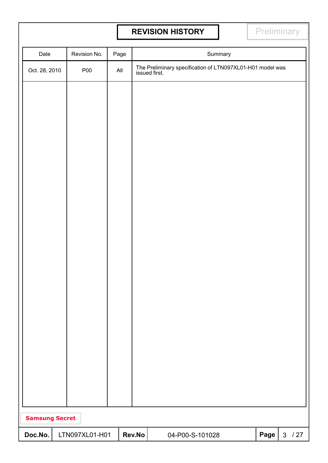# **REVISION HISTORY Preliminary**

| Date                  | Revision No.   | Page           |        | Summary                                                                 |      |        |
|-----------------------|----------------|----------------|--------|-------------------------------------------------------------------------|------|--------|
| Oct. 28, 2010         | <b>P00</b>     | $\mathsf{All}$ |        | The Preliminary specification of LTN097XL01-H01 model was issued first. |      |        |
|                       |                |                |        |                                                                         |      |        |
|                       |                |                |        |                                                                         |      |        |
|                       |                |                |        |                                                                         |      |        |
|                       |                |                |        |                                                                         |      |        |
|                       |                |                |        |                                                                         |      |        |
|                       |                |                |        |                                                                         |      |        |
|                       |                |                |        |                                                                         |      |        |
|                       |                |                |        |                                                                         |      |        |
|                       |                |                |        |                                                                         |      |        |
|                       |                |                |        |                                                                         |      |        |
|                       |                |                |        |                                                                         |      |        |
|                       |                |                |        |                                                                         |      |        |
|                       |                |                |        |                                                                         |      |        |
|                       |                |                |        |                                                                         |      |        |
|                       |                |                |        |                                                                         |      |        |
|                       |                |                |        |                                                                         |      |        |
|                       |                |                |        |                                                                         |      |        |
|                       |                |                |        |                                                                         |      |        |
| <b>Samsung Secret</b> |                |                |        |                                                                         |      |        |
| Doc.No.               | LTN097XL01-H01 |                | Rev.No | 04-P00-S-101028                                                         | Page | $3/27$ |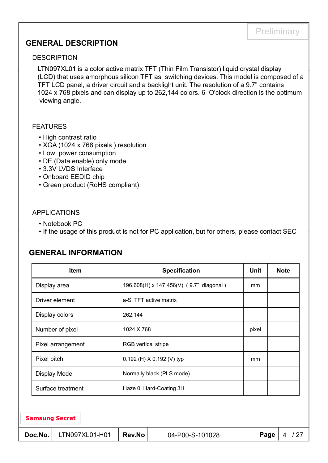## **GENERAL DESCRIPTION**

#### **DESCRIPTION**

LTN097XL01 is a color active matrix TFT (Thin Film Transistor) liquid crystal display (LCD) that uses amorphous silicon TFT as switching devices. This model is composed of a TFT LCD panel, a driver circuit and a backlight unit. The resolution of a 9.7" contains 1024 x 768 pixels and can display up to 262,144 colors. 6 O'clock direction is the optimum viewing angle.

#### FEATURES

- High contrast ratio
- XGA (1024 x 768 pixels ) resolution
- Low power consumption
- DE (Data enable) only mode
- 3.3V LVDS Interface
- Onboard EEDID chip Onboard EEDID
- Green product (RoHS compliant)

#### APPLICATIONS

- Notebook PC
- If the usage of this product is not for PC application, but for others, please contact SEC

### **GENERAL INFORMATION**

| <b>Item</b>           | <b>Specification</b>                    | <b>Unit</b> | <b>Note</b> |
|-----------------------|-----------------------------------------|-------------|-------------|
| Display area          | 196.608(H) x 147.456(V) (9.7" diagonal) | mm          |             |
| Driver element        | a-Si TFT active matrix                  |             |             |
| Display colors        | 262,144                                 |             |             |
| Number of pixel       | 1024 X 768                              | pixel       |             |
| Pixel arrangement     | <b>RGB</b> vertical stripe              |             |             |
| Pixel pitch           | 0.192 (H) $X$ 0.192 (V) typ             | mm          |             |
| Display Mode          | Normally black (PLS mode)               |             |             |
| Surface treatment     | Haze 0, Hard-Coating 3H                 |             |             |
|                       |                                         |             |             |
| <b>Samsung Secret</b> |                                         |             |             |

|  | Doc.No.   LTN097XL01-H01   Rev.No |  | 04-P00-S-101028 |  | Page   $4 / 27$ |
|--|-----------------------------------|--|-----------------|--|-----------------|
|--|-----------------------------------|--|-----------------|--|-----------------|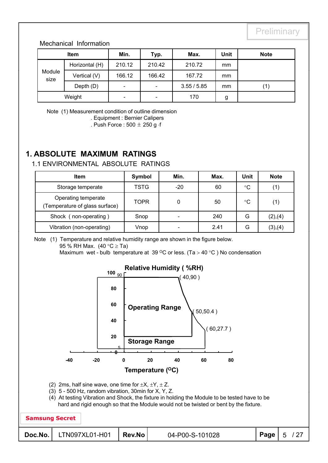#### Mechanical Information

| <b>Item</b>    |                | Min.                     | Typ.                     | Max.        | Unit | <b>Note</b> |
|----------------|----------------|--------------------------|--------------------------|-------------|------|-------------|
|                | Horizontal (H) | 210.12                   | 210.42                   | 210.72      | mm   |             |
| Module<br>size | Vertical (V)   | 166.12                   | 166.42                   | 167.72      | mm   |             |
|                | Depth (D)      | $\overline{\phantom{0}}$ | $\overline{\phantom{a}}$ | 3.55 / 5.85 | mm   | (1)         |
|                | Weight         | -                        | -                        | 170         | g    |             |

Note (1) Measurement condition of outline dimension

. Equipment : Bernier Calipers

. Push Force : 500  $\pm$  250 g  $\cdot$ f

## **1. ABSOLUTE MAXIMUM RATINGS**

### 1.1 ENVIRONMENTAL ABSOLUTE RATINGS

| Item                                                 | Symbol      | Min.                     | Max. | <b>Unit</b> | <b>Note</b>  |
|------------------------------------------------------|-------------|--------------------------|------|-------------|--------------|
| Storage temperate                                    | <b>TSTG</b> | $-20$                    | 60   | °C          | $\mathbf{1}$ |
| Operating temperate<br>Temperature of glass surface) | <b>TOPR</b> | 0                        | 50   | °C          | (1)          |
| Shock (non-operating)                                | Snop        | $\overline{\phantom{a}}$ | 240  | G           | (2),(4)      |
| Vibration (non-operating)                            | Vnop        |                          | 2.41 | G           | (3),(4)      |

Note (1) Temperature and relative humidity range are shown in the figure below. 95 % RH Max.  $(40 °C \geq Ta)$ 

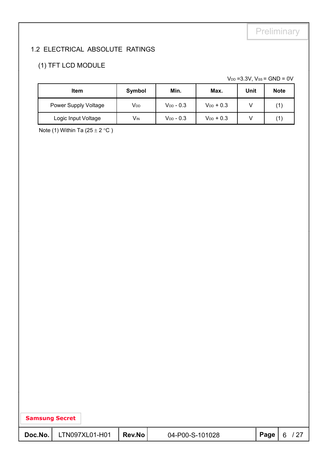## 1.2 ELECTRICAL ABSOLUTE RATINGS

## (1) TFT LCD MODULE

 $V_{DD} = 3.3V$ ,  $V_{SS} = GND = 0V$ 

| ltem                 | Symbol                | Min.           | Max.           | Unit | <b>Note</b> |
|----------------------|-----------------------|----------------|----------------|------|-------------|
| Power Supply Voltage | V <sub>DD</sub>       | $V_{DD}$ - 0.3 | $V_{DD}$ + 0.3 |      | (1          |
| Logic Input Voltage  | <b>V<sub>IN</sub></b> | $V_{DD}$ - 0.3 | $V_{DD}$ + 0.3 |      | 11          |

Note (1) Within Ta ( $25 \pm 2$  °C)

| <b>Samsung Secret</b> |                |               |                 |                        |  |
|-----------------------|----------------|---------------|-----------------|------------------------|--|
| Doc.No.               | LTN097XL01-H01 | <b>Rev.No</b> | 04-P00-S-101028 | <b>Page</b>   $6 / 27$ |  |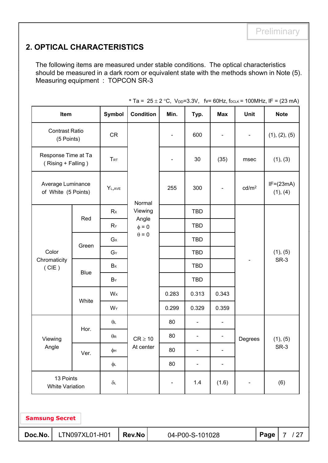# **2. OPTICAL CHARACTERISTICS**

The following items are measured under stable conditions. The optical characteristics should be measured in a dark room or equivalent state with the methods shown in Note (5). Measuring equipment : TOPCON SR-3

|                                           |                                              |                                     |                | Typ.                                          | <b>Max</b>                   | Unit                         | <b>Note</b>             |  |
|-------------------------------------------|----------------------------------------------|-------------------------------------|----------------|-----------------------------------------------|------------------------------|------------------------------|-------------------------|--|
| <b>Contrast Ratio</b><br>(5 Points)       |                                              |                                     | $\blacksquare$ | 600                                           | $\blacksquare$               | $\qquad \qquad \blacksquare$ | (1), (2), (5)           |  |
| Response Time at Ta<br>(Rising + Falling) | <b>TRT</b>                                   |                                     |                | 30                                            | (35)                         | msec                         | (1), (3)                |  |
| Average Luminance<br>of White (5 Points)  | YL, AVE                                      |                                     | 255            | 300                                           | $\qquad \qquad \blacksquare$ | cd/m <sup>2</sup>            | $IF=(23mA)$<br>(1), (4) |  |
|                                           | Rx                                           |                                     |                | <b>TBD</b>                                    |                              |                              |                         |  |
|                                           | RY                                           | Angle<br>$\phi = 0$<br>$\theta = 0$ |                | <b>TBD</b>                                    |                              |                              | (1), (5)<br>SR-3        |  |
|                                           | $G_{X}$                                      |                                     |                | <b>TBD</b>                                    |                              |                              |                         |  |
|                                           | $G_Y$                                        |                                     |                | <b>TBD</b>                                    |                              |                              |                         |  |
|                                           | Bx                                           |                                     |                | <b>TBD</b>                                    |                              |                              |                         |  |
|                                           | $B_Y$                                        |                                     |                | <b>TBD</b>                                    |                              |                              |                         |  |
|                                           | W <sub>x</sub>                               |                                     | 0.283          | 0.313                                         | 0.343                        |                              |                         |  |
|                                           | $W_Y$                                        |                                     | 0.299          | 0.329                                         | 0.359                        |                              |                         |  |
|                                           | $\theta$                                     |                                     | 80             | $\overline{\phantom{a}}$                      | $\qquad \qquad \blacksquare$ |                              |                         |  |
|                                           | $\theta$ R                                   |                                     | 80             | $\overline{\phantom{a}}$                      | $\qquad \qquad \blacksquare$ |                              | (1), (5)                |  |
| Ver.                                      | фн                                           |                                     | 80             |                                               |                              |                              | SR-3                    |  |
|                                           | φL                                           |                                     | 80             | $\overline{\phantom{a}}$                      | $\overline{\phantom{a}}$     |                              |                         |  |
| 13 Points<br><b>White Variation</b>       | $\delta$ L                                   |                                     | $\blacksquare$ | 1.4                                           | (1.6)                        | $\overline{\phantom{a}}$     | (6)                     |  |
|                                           | Red<br>Green<br><b>Blue</b><br>White<br>Hor. |                                     |                | Normal<br>Viewing<br>$CR \ge 10$<br>At center |                              |                              | Degrees                 |  |

\* Ta =  $25 \pm 2$  °C, V<sub>DD</sub>=3.3V, fv= 60Hz, f<sub>DCLK</sub> = 100MHz, IF = (23 mA)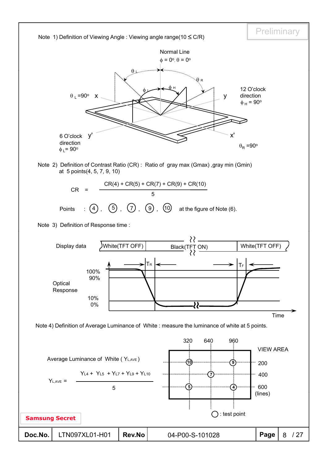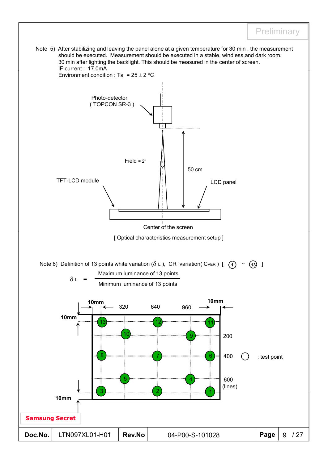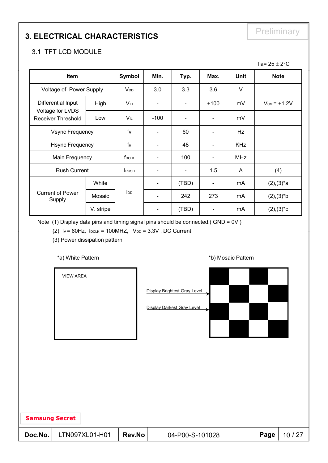# Preliminary **3. ELECTRICAL CHARACTERISTICS**

### 3.1 TFT LCD MODULE

|                                               |           |                        |                              |                              |                          |            | Ta= $25 \pm 2^{\circ}$ C |
|-----------------------------------------------|-----------|------------------------|------------------------------|------------------------------|--------------------------|------------|--------------------------|
| <b>Item</b>                                   |           | Symbol                 | Min.                         | Typ.                         | Max.                     | Unit       | <b>Note</b>              |
| Voltage of Power Supply                       |           | V <sub>DD</sub>        | 3.0                          | 3.3                          | 3.6                      | $\vee$     |                          |
| Differential Input                            | High      | <b>V</b> <sub>IH</sub> | $\overline{\phantom{a}}$     | $\qquad \qquad \blacksquare$ | $+100$                   | mV         | $V_{CM} = +1.2V$         |
| Voltage for LVDS<br><b>Receiver Threshold</b> | Low       | VIL                    | $-100$                       | $\qquad \qquad \blacksquare$ | $\blacksquare$           | mV         |                          |
| <b>Vsync Frequency</b>                        |           | fv                     |                              | 60                           | $\overline{\phantom{a}}$ | Hz         |                          |
| <b>Hsync Frequency</b>                        |           | $f_H$                  |                              | 48                           | $\overline{\phantom{a}}$ | <b>KHz</b> |                          |
| Main Frequency                                |           | f <sub>DCLK</sub>      | $\overline{\phantom{a}}$     | 100                          | $\blacksquare$           | <b>MHz</b> |                          |
| <b>Rush Current</b>                           |           | <b>RUSH</b>            |                              |                              | 1.5                      | A          | (4)                      |
|                                               | White     |                        |                              | (TBD)                        | $\blacksquare$           | mA         | $(2),(3)^{*}a$           |
| <b>Current of Power</b><br>Supply             | Mosaic    | $I_{DD}$               |                              | 242                          | 273                      | mA         | $(2),(3)*b$              |
|                                               | V. stripe |                        | $\qquad \qquad \blacksquare$ | (TBD)                        | $\blacksquare$           | mA         | $(2),(3)^*c$             |

Note (1) Display data pins and timing signal pins should be connected.( GND = 0V )

 $(2)$  fv = 60Hz, f<sub>DCLK</sub> = 100MHZ, V<sub>DD</sub> = 3.3V, DC Current.

(3) Power dissipation pattern

#### \*a) White Pattern **\*b**) Mosaic Pattern **\*b**



**Doc.No.** LTN097XL01-H01 **Rev.No** 04-P00-S-101028 **Page** 10 / 27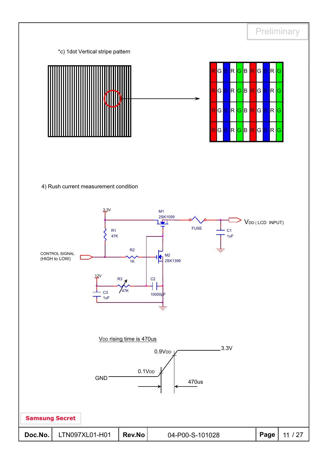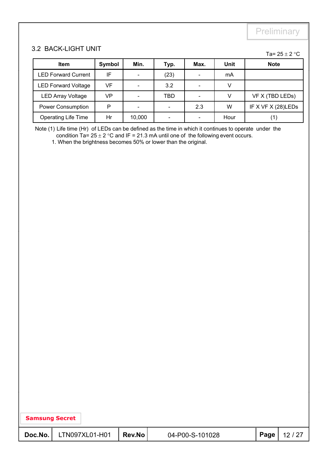#### 3.2 BACK-LIGHT UNIT

#### Ta=  $25 \pm 2$  °C

| <b>Item</b>                | Symbol | Min.   | Typ. | Max. | Unit | <b>Note</b>        |
|----------------------------|--------|--------|------|------|------|--------------------|
| <b>LED Forward Current</b> | IF     |        | (23) |      | mA   |                    |
| <b>LED Forward Voltage</b> | VF     |        | 3.2  |      |      |                    |
| <b>LED Array Voltage</b>   | VP     |        | TBD  |      |      | VF X (TBD LEDs)    |
| <b>Power Consumption</b>   | P      |        |      | 2.3  | W    | IF X VF X (28)LEDS |
| <b>Operating Life Time</b> | Hr     | 10,000 |      |      | Hour |                    |

Note (1) Life time (Hr) of LEDs can be defined as the time in which it continues to operate under the condition Ta=  $25 \pm 2$  °C and IF = 21.3 mA until one of the following event occurs.

1. When the brightness becomes 50% or lower than the original.

| Samsung Secret |  |
|----------------|--|
|----------------|--|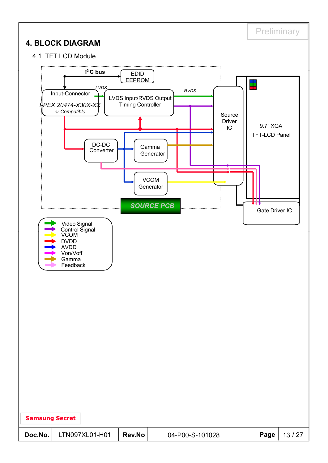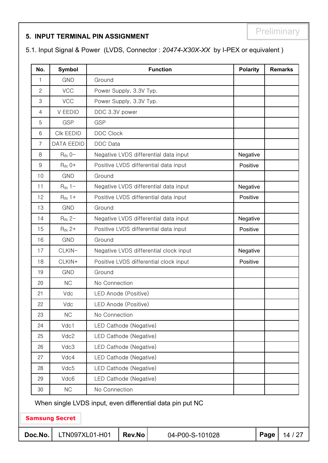# **5. INPUT TERMINAL PIN ASSIGNMENT**

5.1. Input Signal & Power (LVDS, Connector : *20474-X30X-XX* by I-PEX or equivalent )

| No.            | <b>Symbol</b>         |                        |                                        | <b>Function</b>                                           | <b>Polarity</b> |      | <b>Remarks</b> |  |
|----------------|-----------------------|------------------------|----------------------------------------|-----------------------------------------------------------|-----------------|------|----------------|--|
| $\mathbf{1}$   | <b>GND</b>            | Ground                 |                                        |                                                           |                 |      |                |  |
| $\overline{c}$ | <b>VCC</b>            |                        | Power Supply, 3.3V Typ.                |                                                           |                 |      |                |  |
| $\mathfrak{S}$ | <b>VCC</b>            |                        | Power Supply, 3.3V Typ.                |                                                           |                 |      |                |  |
| $\overline{4}$ | V EEDID               | DDC 3.3V power         |                                        |                                                           |                 |      |                |  |
| 5              | <b>GSP</b>            | <b>GSP</b>             |                                        |                                                           |                 |      |                |  |
| 6              | CIK EEDID             | <b>DDC Clock</b>       |                                        |                                                           |                 |      |                |  |
| $\overline{7}$ | <b>DATA EEDID</b>     | DDC Data               |                                        |                                                           |                 |      |                |  |
| 8              | $R_{IN}$ 0-           |                        |                                        | Negative LVDS differential data input                     | Negative        |      |                |  |
| $\mathsf g$    | $R_{IN}$ 0+           |                        |                                        | Positive LVDS differential data input                     | Positive        |      |                |  |
| 10             | <b>GND</b>            | Ground                 |                                        |                                                           |                 |      |                |  |
| 11             | $R_{IN}$ 1-           |                        |                                        | Negative LVDS differential data input                     | Negative        |      |                |  |
| 12             | $R_{IN}$ 1+           |                        |                                        | Positive LVDS differential data input                     | Positive        |      |                |  |
| 13             | <b>GND</b>            | Ground                 |                                        |                                                           |                 |      |                |  |
| 14             | $R_{IN}$ 2-           |                        | Negative LVDS differential data input  | Negative                                                  |                 |      |                |  |
| 15             | $R_{IN}$ 2+           |                        | Positive LVDS differential data input  |                                                           |                 |      |                |  |
| 16             | <b>GND</b>            | Ground                 |                                        |                                                           |                 |      |                |  |
| 17             | CLKIN-                |                        | Negative LVDS differential clock input |                                                           |                 |      |                |  |
| 18             | CLKIN+                |                        |                                        | Positive LVDS differential clock input                    | Positive        |      |                |  |
| 19             | <b>GND</b>            | Ground                 |                                        |                                                           |                 |      |                |  |
| 20             | NC                    | No Connection          |                                        |                                                           |                 |      |                |  |
| 21             | Vdc                   |                        | LED Anode (Positive)                   |                                                           |                 |      |                |  |
| 22             | Vdc                   |                        | LED Anode (Positive)                   |                                                           |                 |      |                |  |
| 23             | <b>NC</b>             | No Connection          |                                        |                                                           |                 |      |                |  |
| 24             | Vdc1                  |                        | LED Cathode (Negative)                 |                                                           |                 |      |                |  |
| 25             | Vdc2                  |                        | LED Cathode (Negative)                 |                                                           |                 |      |                |  |
| 26             | Vdc3                  |                        | LED Cathode (Negative)                 |                                                           |                 |      |                |  |
| 27             | Vdc4                  |                        | LED Cathode (Negative)                 |                                                           |                 |      |                |  |
| 28             | Vdc5                  | LED Cathode (Negative) |                                        |                                                           |                 |      |                |  |
| 29             | Vdc6                  | LED Cathode (Negative) |                                        |                                                           |                 |      |                |  |
| 30             | NC                    |                        | No Connection                          |                                                           |                 |      |                |  |
|                | <b>Samsung Secret</b> |                        |                                        | When single LVDS input, even differential data pin put NC |                 |      |                |  |
| Doc.No.        | LTN097XL01-H01        |                        | <b>Rev.No</b>                          | 04-P00-S-101028                                           |                 | Page | 14/27          |  |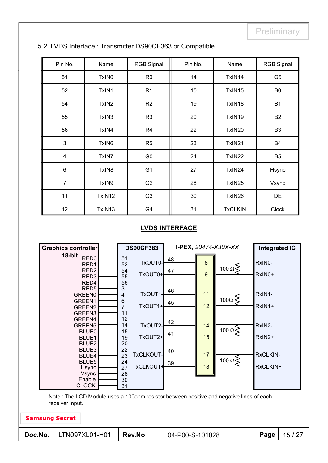| Pin No.        | Name              | <b>RGB Signal</b> | Pin No. | Name           | <b>RGB Signal</b> |
|----------------|-------------------|-------------------|---------|----------------|-------------------|
| 51             | TxIN <sub>0</sub> | R <sub>0</sub>    | 14      | TxIN14         | G <sub>5</sub>    |
| 52             | TxIN1             | R1                | 15      | TxIN15         | B <sub>0</sub>    |
| 54             | TxIN <sub>2</sub> | R <sub>2</sub>    | 19      | TxIN18         | <b>B1</b>         |
| 55             | TxIN3             | R <sub>3</sub>    | 20      | TxIN19         | <b>B2</b>         |
| 56             | TxIN4             | R <sub>4</sub>    | 22      | <b>TxIN20</b>  | B <sub>3</sub>    |
| $\mathbf{3}$   | TxIN6             | R <sub>5</sub>    | 23      | TxIN21         | B4                |
| $\overline{4}$ | TxIN7             | G <sub>0</sub>    | 24      | TxIN22         | B <sub>5</sub>    |
| 6              | TxIN8             | G <sub>1</sub>    | 27      | TxIN24         | Hsync             |
| $\overline{7}$ | TxIN9             | G <sub>2</sub>    | 28      | TxIN25         | Vsync             |
| 11             | TxIN12            | G <sub>3</sub>    | 30      | TxIN26         | DE                |
| 12             | TxIN13            | G4                | 31      | <b>TxCLKIN</b> | <b>Clock</b>      |

#### 5.2 LVDS Interface : Transmitter DS90CF363 or Compatible

#### **LVDS INTERFACE**

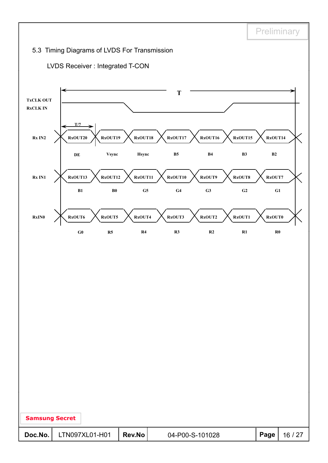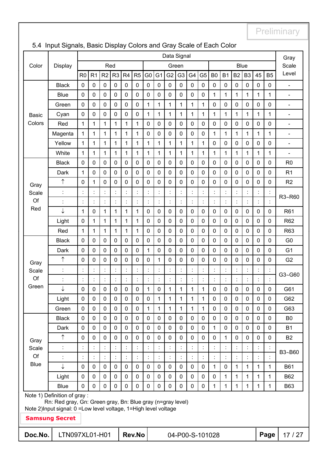|                                                                                                                                   |                       |                      |                |                |                |                |                |                |                |                          | Data Signal          |                      |                |                      |                      |                      |                      |                |                          | Gray                         |
|-----------------------------------------------------------------------------------------------------------------------------------|-----------------------|----------------------|----------------|----------------|----------------|----------------|----------------|----------------|----------------|--------------------------|----------------------|----------------------|----------------|----------------------|----------------------|----------------------|----------------------|----------------|--------------------------|------------------------------|
| Color                                                                                                                             | Display               |                      |                |                | Red            |                |                |                |                |                          | Green                |                      |                |                      |                      |                      | <b>Blue</b>          |                |                          | Scale                        |
|                                                                                                                                   |                       | R <sub>0</sub>       | R <sub>1</sub> | R <sub>2</sub> | R <sub>3</sub> | R <sub>4</sub> | R <sub>5</sub> | G <sub>0</sub> | G <sub>1</sub> | G <sub>2</sub>           | G <sub>3</sub>       | G <sub>4</sub>       | G <sub>5</sub> | B <sub>0</sub>       | <b>B1</b>            | B <sub>2</sub>       | B <sub>3</sub>       | 45             | B <sub>5</sub>           | Level                        |
|                                                                                                                                   | <b>Black</b>          | $\mathbf 0$          | 0              | 0              | $\mathbf 0$    | $\mathbf 0$    | $\mathbf 0$    | $\mathbf 0$    | $\mathbf 0$    | $\mathbf 0$              | 0                    | $\mathbf 0$          | $\mathbf 0$    | $\mathbf 0$          | $\mathbf 0$          | $\mathbf 0$          | $\mathbf 0$          | 0              | 0                        | $\overline{\phantom{0}}$     |
|                                                                                                                                   | <b>Blue</b>           | $\mathbf 0$          | 0              | 0              | $\mathbf 0$    | $\mathbf 0$    | 0              | 0              | 0              | $\mathbf 0$              | 0                    | 0                    | 0              | 1                    | 1                    | 1                    | 1                    | 1              | 1                        | $\frac{1}{2}$                |
|                                                                                                                                   | Green                 | $\mathbf 0$          | 0              | 0              | $\mathbf 0$    | $\mathbf 0$    | 0              | 1              | 1              | 1                        | 1                    | 1                    | 1              | $\mathbf 0$          | $\mathbf 0$          | 0                    | $\mathbf 0$          | 0              | 0                        | $\overline{\phantom{a}}$     |
| <b>Basic</b>                                                                                                                      | Cyan                  | $\mathbf 0$          | 0              | 0              | 0              | 0              | 0              | 1              | 1              | 1                        | 1                    | 1                    | 1              | 1                    | 1                    | $\mathbf{1}$         | 1                    | 1              | 1                        | $\overline{\phantom{a}}$     |
| Colors                                                                                                                            | Red                   | $\mathbf{1}$         | 1              | 1              | 1              | 1              | 1              | $\pmb{0}$      | 0              | $\mathbf 0$              | 0                    | 0                    | $\mathbf 0$    | $\mathbf 0$          | 0                    | 0                    | $\mathbf 0$          | 0              | 0                        | $\overline{\phantom{0}}$     |
|                                                                                                                                   | Magenta               | $\mathbf{1}$         | 1              | 1              | 1              | 1              | 1              | 0              | 0              | $\mathbf 0$              | 0                    | 0                    | 0              | 1                    | 1                    | 1                    | 1                    | 1              | 1                        | $\overline{\phantom{0}}$     |
|                                                                                                                                   | Yellow                | $\mathbf{1}$         | 1              | 1              | 1              | 1              | 1              | 1              | 1              | 1                        | 1                    | 1                    | $\mathbf{1}$   | 0                    | 0                    | 0                    | $\mathbf 0$          | 0              | 0                        | $\overline{\phantom{0}}$     |
|                                                                                                                                   | White                 | 1                    | 1              | 1              | 1              | 1              | $\mathbf{1}$   | 1              | $\mathbf 1$    | 1                        | 1                    | 1                    | 1              | 1                    | 1                    | 1                    | 1                    | 1              | 1                        | $\qquad \qquad \blacksquare$ |
|                                                                                                                                   | <b>Black</b>          | $\mathbf 0$          | 0              | 0              | $\mathbf 0$    | $\mathbf 0$    | 0              | $\mathbf 0$    | 0              | $\mathbf 0$              | 0                    | 0                    | $\mathbf 0$    | $\mathbf 0$          | $\mathbf 0$          | 0                    | $\mathbf 0$          | $\mathbf 0$    | 0                        | R <sub>0</sub>               |
|                                                                                                                                   | Dark                  | $\mathbf{1}$         | $\mathbf 0$    | 0              | 0              | $\mathbf 0$    | 0              | $\mathbf 0$    | 0              | $\mathbf 0$              | 0                    | $\mathbf 0$          | $\mathbf 0$    | $\mathbf 0$          | $\mathbf 0$          | $\mathbf 0$          | $\mathbf 0$          | $\mathbf 0$    | $\mathbf 0$              | R <sub>1</sub>               |
| Gray                                                                                                                              | ↑                     | $\mathbf 0$          | 1              | 0              | $\mathbf 0$    | $\mathbf 0$    | 0              | $\mathbf 0$    | 0              | $\mathbf 0$              | 0                    | 0                    | $\mathbf 0$    | $\mathbf 0$          | $\mathbf 0$          | 0                    | $\mathbf 0$          | 0              | 0                        | R <sub>2</sub>               |
| Scale                                                                                                                             | $\ddot{\cdot}$        | İ                    | $\ddot{\cdot}$ | $\ddot{\cdot}$ |                | İ              | $\ddot{\cdot}$ | $\ddot{\cdot}$ | $\ddot{\cdot}$ | Ì.                       | $\ddot{\cdot}$       | $\ddot{\phantom{a}}$ |                | $\ddot{\cdot}$       | $\ddot{\phantom{0}}$ | $\ddot{\cdot}$       | $\ddot{\phantom{a}}$ | $\ddot{\cdot}$ | $\ddot{\cdot}$           | R3~R60                       |
| Of                                                                                                                                | $\cdot$               | $\ddot{\cdot}$       | İ              | $\cdot$        |                | $\ddot{\cdot}$ | $\ddot{\cdot}$ | $\ddot{\cdot}$ | $\ddot{\cdot}$ | $\ddot{\cdot}$           | $\blacksquare$       | $\ddot{\cdot}$       |                | $\ddot{\cdot}$       | $\ddot{\cdot}$       | $\ddot{\cdot}$       | $\ddot{\cdot}$       | İ,             | $\overline{\phantom{a}}$ |                              |
| Red                                                                                                                               | ↓                     | $\mathbf{1}$         | 0              | 1              | $\mathbf{1}$   | 1              | $\mathbf 1$    | $\pmb{0}$      | 0              | $\pmb{0}$                | 0                    | 0                    | $\pmb{0}$      | $\mathbf 0$          | $\pmb{0}$            | $\pmb{0}$            | $\mathbf 0$          | 0              | 0                        | R61                          |
|                                                                                                                                   | Light                 | $\mathbf 0$          | 1              | 1              | $\mathbf{1}$   | 1              | $\mathbf 1$    | $\pmb{0}$      | 0              | $\mathbf 0$              | 0                    | 0                    | 0              | 0                    | $\mathbf 0$          | 0                    | $\mathbf 0$          | 0              | $\mathbf 0$              | R62                          |
|                                                                                                                                   | Red                   | $\mathbf{1}$         | 1              | $\mathbf{1}$   | $\mathbf{1}$   | 1              | $\mathbf{1}$   | $\mathbf 0$    | 0              | $\mathbf 0$              | 0                    | $\mathbf 0$          | $\mathbf 0$    | $\mathbf 0$          | 0                    | 0                    | $\mathbf 0$          | 0              | 0                        | R63                          |
|                                                                                                                                   | <b>Black</b>          | $\mathbf 0$          | 0              | 0              | $\mathbf 0$    | $\mathbf 0$    | 0              | $\mathbf 0$    | 0              | $\overline{0}$           | 0                    | $\mathbf 0$          | $\mathbf 0$    | 0                    | 0                    | $\overline{0}$       | $\mathbf 0$          | $\overline{0}$ | 0                        | G <sub>0</sub>               |
|                                                                                                                                   | Dark                  | $\mathbf 0$          | $\mathbf 0$    | 0              | 0              | $\mathbf 0$    | 0              | 1              | 0              | $\mathbf 0$              | 0                    | $\mathbf 0$          | $\mathbf 0$    | $\mathbf 0$          | $\mathbf 0$          | 0                    | $\mathbf 0$          | $\mathbf 0$    | 0                        | G <sub>1</sub>               |
| Gray                                                                                                                              | ↑                     | $\mathbf 0$          | 0              | 0              | $\mathbf 0$    | $\mathbf 0$    | 0              | $\mathbf 0$    | 1              | $\mathbf 0$              | 0                    | 0                    | $\mathbf 0$    | $\mathbf 0$          | $\mathbf 0$          | 0                    | $\mathbf 0$          | 0              | 0                        | G <sub>2</sub>               |
| Scale                                                                                                                             | $\ddot{\cdot}$        | $\ddot{\phantom{a}}$ | t.             | $\ddot{\cdot}$ | ÷              | $\ddot{\cdot}$ | $\ddot{\cdot}$ | t              | ÷.             | ÷                        | İ.                   | $\ddot{\cdot}$       |                | $\ddot{\cdot}$       | $\ddot{\cdot}$       | $\ddot{\cdot}$       | $\ddot{\cdot}$       | İ.             | $\ddot{\phantom{a}}$     | G3~G60                       |
| Of                                                                                                                                | $\ddot{\cdot}$        | $\ddot{\cdot}$       | ÷.             | ÷.             | ÷              | $\ddot{\cdot}$ | $\ddot{\cdot}$ | $\ddot{\cdot}$ | $\ddot{\cdot}$ | $\ddot{\phantom{a}}$     | Ì.                   | $\ddot{\cdot}$       |                | $\ddot{\phantom{a}}$ | $\ddot{\cdot}$       | $\ddot{\phantom{a}}$ | İ                    | $\ddot{\cdot}$ | $\ddot{\phantom{a}}$     |                              |
| Green                                                                                                                             | ↓                     | $\pmb{0}$            | 0              | 0              | $\pmb{0}$      | 0              | 0              | 1              | 0              | 1                        | 1                    | 1                    | 1              | $\pmb{0}$            | 0                    | 0                    | $\pmb{0}$            | 0              | 0                        | G61                          |
|                                                                                                                                   | Light                 | 0                    | 0              | 0              | 0              | 0              | 0              | 0              | 1              | 1                        | 1                    | 1                    | 1              | 0                    | 0                    | $\pmb{0}$            | $\pmb{0}$            | 0              | 0                        | G62                          |
|                                                                                                                                   | Green                 | $\mathbf 0$          | 0              | 0              | $\mathbf 0$    | $\mathbf 0$    | $\mathbf 0$    | 1              | $\mathbf{1}$   | $\mathbf{1}$             | $\mathbf{1}$         | 1                    | 1              | $\mathbf 0$          | $\mathbf 0$          | $\mathbf 0$          | $\mathbf 0$          | 0              | 0                        | G63                          |
|                                                                                                                                   | <b>Black</b>          | $\mathbf 0$          | 0              | 0              | $\mathbf 0$    | $\mathbf 0$    | 0              | $\pmb{0}$      | 0              | $\mathbf 0$              | 0                    | 0                    | $\mathbf 0$    | $\mathbf 0$          | $\mathbf 0$          | 0                    | $\mathbf 0$          | 0              | 0                        | B <sub>0</sub>               |
|                                                                                                                                   | Dark                  | $\mathbf 0$          | 0              | 0              | $\mathbf 0$    | $\mathbf 0$    | 0              | $\mathbf 0$    | 0              | $\mathbf 0$              | 0                    | 0                    | $\mathbf 0$    | $\mathbf{1}$         | $\mathbf 0$          | 0                    | $\mathbf 0$          | 0              | 0                        | <b>B1</b>                    |
| Gray                                                                                                                              | ↑                     | $\mathbf 0$          | 0              | 0              | $\overline{0}$ | $\mathbf 0$    | 0              | $\mathbf 0$    | 0              | $\overline{0}$           | 0                    | $\overline{0}$       | $\mathbf 0$    | $\mathbf 0$          | 1                    | $\overline{0}$       | $\overline{0}$       | $\overline{0}$ | 0                        | <b>B2</b>                    |
| Scale                                                                                                                             | $\vdots$              | $\ddot{\cdot}$       | t.             |                |                |                |                |                | Ì.             | $\overline{\phantom{a}}$ | $\ddot{\phantom{0}}$ | $\ddot{\phantom{a}}$ |                |                      |                      |                      |                      | Ì.             |                          | B3~B60                       |
| Of                                                                                                                                | $\ddot{\phantom{a}}$  | $\ddot{\phantom{a}}$ | $\ddot{\cdot}$ | $\ddot{\cdot}$ |                |                | $\ddot{\cdot}$ | $\ddot{\cdot}$ | $\ddot{\cdot}$ | ÷,                       | $\ddot{\cdot}$       | $\ddot{\cdot}$       |                |                      |                      | $\ddot{\phantom{a}}$ | $\ddot{\cdot}$       |                |                          |                              |
| <b>Blue</b>                                                                                                                       | ↓                     | $\mathbf 0$          | 0              | 0              | $\mathbf 0$    | 0              | $\mathbf 0$    | $\mathbf 0$    | $\mathbf 0$    | $\mathbf 0$              | 0                    | $\mathbf 0$          | $\mathbf 0$    | $\mathbf{1}$         | 0                    | $\mathbf{1}$         | $\mathbf{1}$         | $\mathbf 1$    | $\mathbf{1}$             | <b>B61</b>                   |
|                                                                                                                                   | Light                 | $\mathbf 0$          | $\mathbf 0$    | 0              | 0              | $\mathbf 0$    | 0              | $\mathbf 0$    | $\mathbf 0$    | $\mathbf 0$              | 0                    | $\mathbf 0$          | $\mathbf 0$    | $\mathbf 0$          | 1                    | $\mathbf{1}$         | $\mathbf{1}$         | 1              | $\mathbf{1}$             | <b>B62</b>                   |
|                                                                                                                                   | <b>Blue</b>           | $\mathbf 0$          | 0              | 0              | $\mathbf 0$    | 0              | 0              | $\mathbf 0$    | 0              | $\mathbf 0$              | 0                    | 0                    | $\pmb{0}$      | 1                    | 1                    | $\mathbf{1}$         | 1                    | 1              | 1                        | <b>B63</b>                   |
| Note 1) Definition of gray :                                                                                                      |                       |                      |                |                |                |                |                |                |                |                          |                      |                      |                |                      |                      |                      |                      |                |                          |                              |
| Rn: Red gray, Gn: Green gray, Bn: Blue gray (n=gray level)<br>Note 2) Input signal: 0 = Low level voltage, 1 = High level voltage |                       |                      |                |                |                |                |                |                |                |                          |                      |                      |                |                      |                      |                      |                      |                |                          |                              |
|                                                                                                                                   | <b>Samsung Secret</b> |                      |                |                |                |                |                |                |                |                          |                      |                      |                |                      |                      |                      |                      |                |                          |                              |
| Doc.No.                                                                                                                           | LTN097XL01-H01        |                      |                |                |                |                | Rev.No         |                |                |                          |                      |                      |                | 04-P00-S-101028      |                      |                      |                      |                | Page                     | 17/27                        |
|                                                                                                                                   |                       |                      |                |                |                |                |                |                |                |                          |                      |                      |                |                      |                      |                      |                      |                |                          |                              |

# 5.4 Input Signals, Basic Display Colors and Gray Scale of Each Color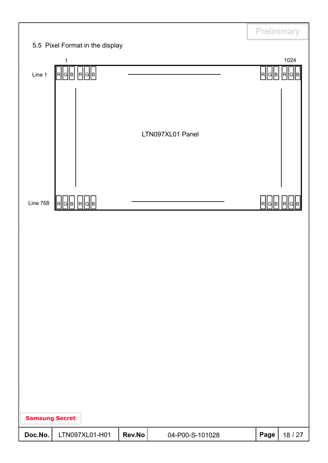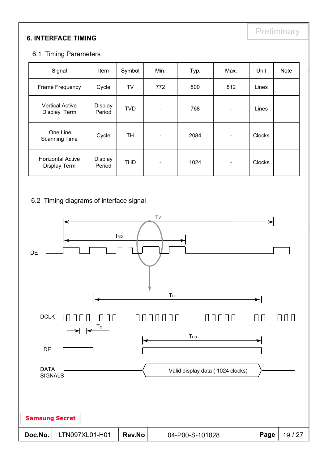# Preliminary **6. INTERFACE TIMING**

### 6.1 Timing Parameters

| Signal                                          | Item              | Symbol     | Min.           | Typ. | Max.                         | Unit          | <b>Note</b> |
|-------------------------------------------------|-------------------|------------|----------------|------|------------------------------|---------------|-------------|
| Frame Frequency                                 | Cycle             | <b>TV</b>  | 772            | 800  | 812                          | Lines         |             |
| <b>Vertical Active</b><br>Display Term          | Display<br>Period | <b>TVD</b> | -              | 768  | $\overline{\phantom{a}}$     | Lines         |             |
| One Line<br><b>Scanning Time</b>                | Cycle             | <b>TH</b>  | $\blacksquare$ | 2084 | $\qquad \qquad \blacksquare$ | <b>Clocks</b> |             |
| <b>Horizontal Active</b><br><b>Display Term</b> | Display<br>Period | <b>THD</b> |                | 1024 |                              | <b>Clocks</b> |             |

#### 6.2 Timing diagrams of interface signal

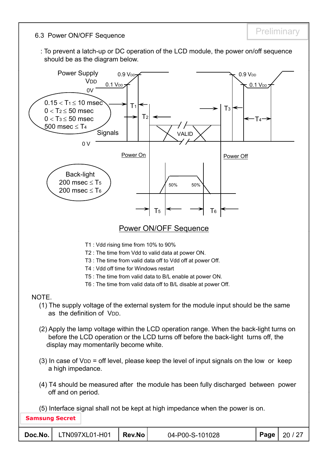6.3 Power ON/OFF Sequence **Example 2018** Preliminary

: To prevent a latch-up or DC operation of the LCD module, the power on/off sequence should be as the diagram below.

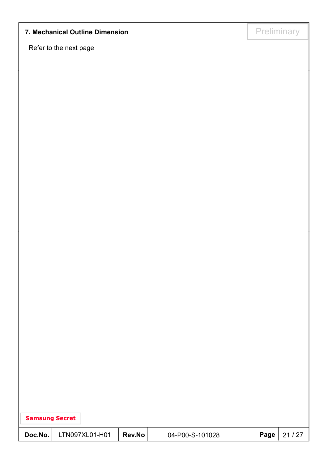# **7. Mechanical Outline Dimension Preliminary**

Refer to the next page

| <b>Samsung Secret</b> |                |        |                 |      |       |  |  |
|-----------------------|----------------|--------|-----------------|------|-------|--|--|
| Doc.No.               | LTN097XL01-H01 | Rev.No | 04-P00-S-101028 | Page | 21/27 |  |  |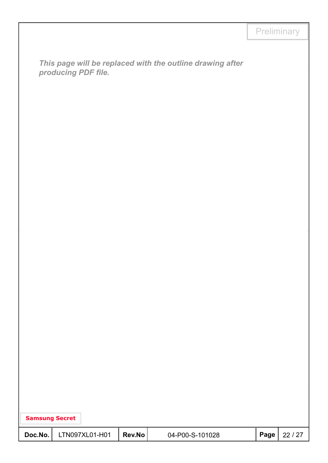*This page will be replaced with the outline drawing after prod i PDF fil ducing PDF file.*

| <b>Samsung Secret</b> |                |        |                 |      |       |
|-----------------------|----------------|--------|-----------------|------|-------|
| Doc.No.               | LTN097XL01-H01 | Rev.No | 04-P00-S-101028 | Page | 22/27 |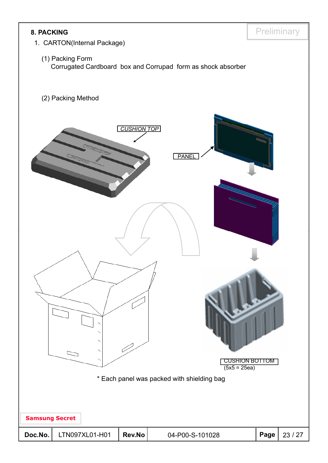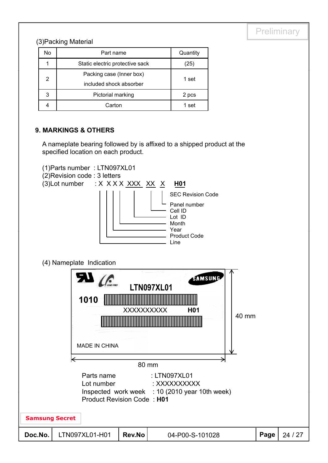#### (3)Packing Material

| No | Part name                       | Quantity |
|----|---------------------------------|----------|
|    | Static electric protective sack | 25)      |
| 2  | Packing case (Inner box)        |          |
|    | included shock absorber         | 1 set    |
| 3  | Pictorial marking               | 2 pcs    |
|    | Carton                          | 1 set    |

#### **9. MARKINGS & OTHERS**

A nameplate bearing followed by is affixed to a shipped product at the specified location on each product.

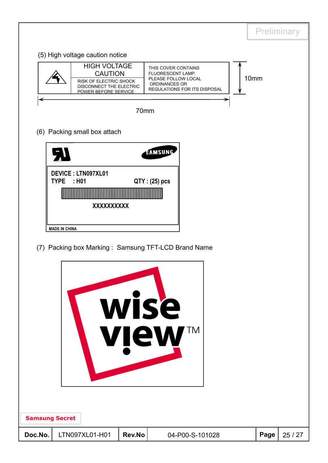|         |                                                                                                                                                       |        |                                                                                                                         | Preliminary |         |
|---------|-------------------------------------------------------------------------------------------------------------------------------------------------------|--------|-------------------------------------------------------------------------------------------------------------------------|-------------|---------|
|         |                                                                                                                                                       |        |                                                                                                                         |             |         |
|         | (5) High voltage caution notice<br><b>HIGH VOLTAGE</b><br><b>CAUTION</b><br>RISK OF ELECTRIC SHOCK<br>DISCONNECT THE ELECTRIC<br>POWER BEFORE SERVICE |        | THIS COVER CONTAINS<br>FLUORESCENT LAMP.<br>PLEASE FOLLOW LOCAL<br><b>ORDINANCES OR</b><br>REGULATIONS FOR ITS DISPOSAL | 10mm        |         |
|         |                                                                                                                                                       | 70mm   |                                                                                                                         |             |         |
|         | (6) Packing small box attach                                                                                                                          |        |                                                                                                                         |             |         |
|         |                                                                                                                                                       |        | SAMSUNG                                                                                                                 |             |         |
|         |                                                                                                                                                       |        |                                                                                                                         |             |         |
|         | <b>DEVICE: LTN097XL01</b><br><b>TYPE</b><br>$\therefore$ HO1                                                                                          |        | QTY: (25) pcs                                                                                                           |             |         |
|         |                                                                                                                                                       |        |                                                                                                                         |             |         |
|         | XXXXXXXXXX                                                                                                                                            |        |                                                                                                                         |             |         |
|         | <b>MADE IN CHINA</b>                                                                                                                                  |        |                                                                                                                         |             |         |
|         |                                                                                                                                                       |        | (7) Packing box Marking: Samsung TFT-LCD Brand Name                                                                     |             |         |
|         |                                                                                                                                                       |        |                                                                                                                         |             |         |
|         |                                                                                                                                                       |        |                                                                                                                         |             |         |
|         |                                                                                                                                                       |        |                                                                                                                         |             |         |
|         |                                                                                                                                                       |        | wise                                                                                                                    |             |         |
|         |                                                                                                                                                       |        |                                                                                                                         |             |         |
|         |                                                                                                                                                       |        | <b>view™</b>                                                                                                            |             |         |
|         |                                                                                                                                                       |        |                                                                                                                         |             |         |
|         |                                                                                                                                                       |        |                                                                                                                         |             |         |
|         |                                                                                                                                                       |        |                                                                                                                         |             |         |
|         |                                                                                                                                                       |        |                                                                                                                         |             |         |
|         | <b>Samsung Secret</b>                                                                                                                                 |        |                                                                                                                         |             |         |
| Doc.No. | LTN097XL01-H01                                                                                                                                        | Rev.No | 04-P00-S-101028                                                                                                         | Page        | 25 / 27 |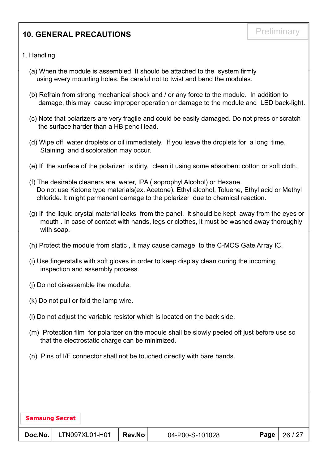# **10. GENERAL PRECAUTIONS** Preliminary

#### 1. Handling

- (a) When the module is assembled, It should be attached to the system firmly using every mounting holes. Be careful not to twist and bend the modules.
- (b) Refrain from strong mechanical shock and / or any force to the module. In addition to damage, this may cause improper operation or damage to the module and LED back-light.
- (c) Note that polarizers are very fragile and could be easily damaged. Do not press or scratch the surface harder than a HB pencil lead.
- (d) Wipe off water droplets or oil immediately. If you leave the droplets for a long time, Staining and discoloration may occur.
- (e) If the surface of the polarizer is dirty, clean it using some absorbent cotton or soft cloth.
- (f) The desirable cleaners are water, IPA (Isoprophyl Alcohol) or Hexane. Do not use Ketone type materials(ex. Acetone), Ethyl alcohol, Toluene, Ethyl acid or Methyl chloride. It might permanent damage to the polarizer due to chemical reaction.
- (g) If the liquid crystal material leaks from the panel, it should be kept away from the eyes or mouth . In case of contact with hands, legs or clothes, it must be washed away thoroughly with soap.
- (h) Protect the module from static , it may cause damage to the C-MOS Gate Array IC.
- (i) Use fingerstalls with soft gloves in order to keep display clean during the incoming inspection and assembly process.
- (j) Do not disassemble the module (j) Do not disassemble the module.
- (k) Do not pull or fold the lamp wire.
- (l) Do not adjust the variable resistor which is located on the back side.
- (m) Protection film for polarizer on the module shall be slowly peeled off just before use so that the electrostatic charge can be minimized.
- (n) Pins of I/F connector shall not be touched directly with bare hands.

# **Doc.No.** LTN097XL01-H01 **Rev.No** 04-P00-S-101028 **Page** 26 / 27 **Samsung Secret**